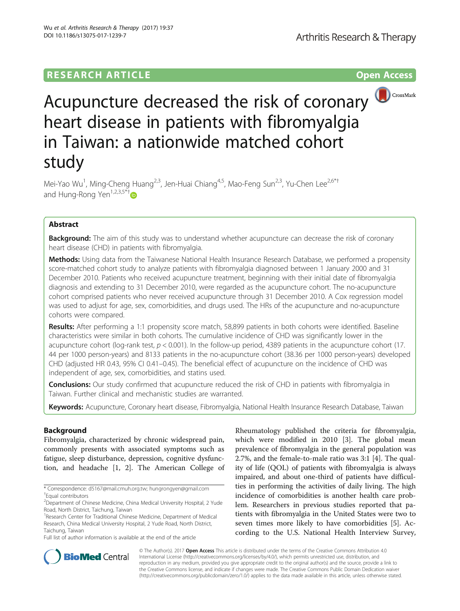# **RESEARCH ARTICLE Example 2014 12:30 The Contract of Contract ACCESS**



# Acupuncture decreased the risk of coronary heart disease in patients with fibromyalgia in Taiwan: a nationwide matched cohort study

Mei-Yao Wu<sup>1</sup>, Ming-Cheng Huang<sup>2,3</sup>, Jen-Huai Chiang<sup>4,5</sup>, Mao-Feng Sun<sup>2,3</sup>, Yu-Chen Lee<sup>2,6\*†</sup> and Hung-Rong Yen<sup>1,2,3,5\*†</sup>

# Abstract

**Background:** The aim of this study was to understand whether acupuncture can decrease the risk of coronary heart disease (CHD) in patients with fibromyalgia.

Methods: Using data from the Taiwanese National Health Insurance Research Database, we performed a propensity score-matched cohort study to analyze patients with fibromyalgia diagnosed between 1 January 2000 and 31 December 2010. Patients who received acupuncture treatment, beginning with their initial date of fibromyalgia diagnosis and extending to 31 December 2010, were regarded as the acupuncture cohort. The no-acupuncture cohort comprised patients who never received acupuncture through 31 December 2010. A Cox regression model was used to adjust for age, sex, comorbidities, and drugs used. The HRs of the acupuncture and no-acupuncture cohorts were compared.

Results: After performing a 1:1 propensity score match, 58,899 patients in both cohorts were identified. Baseline characteristics were similar in both cohorts. The cumulative incidence of CHD was significantly lower in the acupuncture cohort (log-rank test,  $p < 0.001$ ). In the follow-up period, 4389 patients in the acupuncture cohort (17. 44 per 1000 person-years) and 8133 patients in the no-acupuncture cohort (38.36 per 1000 person-years) developed CHD (adjusted HR 0.43, 95% CI 0.41–0.45). The beneficial effect of acupuncture on the incidence of CHD was independent of age, sex, comorbidities, and statins used.

**Conclusions:** Our study confirmed that acupuncture reduced the risk of CHD in patients with fibromyalgia in Taiwan. Further clinical and mechanistic studies are warranted.

Keywords: Acupuncture, Coronary heart disease, Fibromyalgia, National Health Insurance Research Database, Taiwan

# Background

Fibromyalgia, characterized by chronic widespread pain, commonly presents with associated symptoms such as fatigue, sleep disturbance, depression, cognitive dysfunction, and headache [[1, 2\]](#page-8-0). The American College of

Rheumatology published the criteria for fibromyalgia, which were modified in 2010 [[3\]](#page-8-0). The global mean prevalence of fibromyalgia in the general population was 2.7%, and the female-to-male ratio was 3:1 [\[4](#page-8-0)]. The quality of life (QOL) of patients with fibromyalgia is always impaired, and about one-third of patients have difficulties in performing the activities of daily living. The high incidence of comorbidities is another health care problem. Researchers in previous studies reported that patients with fibromyalgia in the United States were two to seven times more likely to have comorbidities [\[5](#page-8-0)]. According to the U.S. National Health Interview Survey,



© The Author(s). 2017 **Open Access** This article is distributed under the terms of the Creative Commons Attribution 4.0 International License [\(http://creativecommons.org/licenses/by/4.0/](http://creativecommons.org/licenses/by/4.0/)), which permits unrestricted use, distribution, and reproduction in any medium, provided you give appropriate credit to the original author(s) and the source, provide a link to the Creative Commons license, and indicate if changes were made. The Creative Commons Public Domain Dedication waiver [\(http://creativecommons.org/publicdomain/zero/1.0/](http://creativecommons.org/publicdomain/zero/1.0/)) applies to the data made available in this article, unless otherwise stated.

<sup>\*</sup> Correspondence: [d5167@mail.cmuh.org.tw;](mailto:d5167@mail.cmuh.org.tw) [hungrongyen@gmail.com](mailto:hungrongyen@gmail.com) † Equal contributors

<sup>&</sup>lt;sup>2</sup> Department of Chinese Medicine, China Medical University Hospital, 2 Yude Road, North District, Taichung, Taiwan

<sup>&</sup>lt;sup>1</sup> Research Center for Traditional Chinese Medicine, Department of Medical Research, China Medical University Hospital, 2 Yude Road, North District, Taichung, Taiwan

Full list of author information is available at the end of the article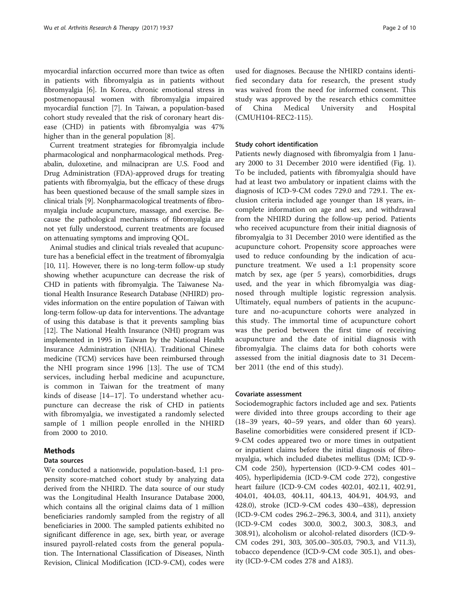myocardial infarction occurred more than twice as often in patients with fibromyalgia as in patients without fibromyalgia [\[6\]](#page-8-0). In Korea, chronic emotional stress in postmenopausal women with fibromyalgia impaired myocardial function [[7\]](#page-8-0). In Taiwan, a population-based cohort study revealed that the risk of coronary heart disease (CHD) in patients with fibromyalgia was 47% higher than in the general population [\[8](#page-8-0)].

Current treatment strategies for fibromyalgia include pharmacological and nonpharmacological methods. Pregabalin, duloxetine, and milnacipran are U.S. Food and Drug Administration (FDA)-approved drugs for treating patients with fibromyalgia, but the efficacy of these drugs has been questioned because of the small sample sizes in clinical trials [\[9\]](#page-8-0). Nonpharmacological treatments of fibromyalgia include acupuncture, massage, and exercise. Because the pathological mechanisms of fibromyalgia are not yet fully understood, current treatments are focused on attenuating symptoms and improving QOL.

Animal studies and clinical trials revealed that acupuncture has a beneficial effect in the treatment of fibromyalgia [[10](#page-8-0), [11\]](#page-8-0). However, there is no long-term follow-up study showing whether acupuncture can decrease the risk of CHD in patients with fibromyalgia. The Taiwanese National Health Insurance Research Database (NHIRD) provides information on the entire population of Taiwan with long-term follow-up data for interventions. The advantage of using this database is that it prevents sampling bias [[12](#page-8-0)]. The National Health Insurance (NHI) program was implemented in 1995 in Taiwan by the National Health Insurance Administration (NHIA). Traditional Chinese medicine (TCM) services have been reimbursed through the NHI program since 1996 [[13\]](#page-8-0). The use of TCM services, including herbal medicine and acupuncture, is common in Taiwan for the treatment of many kinds of disease [[14](#page-8-0)–[17](#page-8-0)]. To understand whether acupuncture can decrease the risk of CHD in patients with fibromyalgia, we investigated a randomly selected sample of 1 million people enrolled in the NHIRD from 2000 to 2010.

# **Methods**

# Data sources

We conducted a nationwide, population-based, 1:1 propensity score-matched cohort study by analyzing data derived from the NHIRD. The data source of our study was the Longitudinal Health Insurance Database 2000, which contains all the original claims data of 1 million beneficiaries randomly sampled from the registry of all beneficiaries in 2000. The sampled patients exhibited no significant difference in age, sex, birth year, or average insured payroll-related costs from the general population. The International Classification of Diseases, Ninth Revision, Clinical Modification (ICD-9-CM), codes were

used for diagnoses. Because the NHIRD contains identified secondary data for research, the present study was waived from the need for informed consent. This study was approved by the research ethics committee of China Medical University and Hospital (CMUH104-REC2-115).

# Study cohort identification

Patients newly diagnosed with fibromyalgia from 1 January 2000 to 31 December 2010 were identified (Fig. [1](#page-2-0)). To be included, patients with fibromyalgia should have had at least two ambulatory or inpatient claims with the diagnosis of ICD-9-CM codes 729.0 and 729.1. The exclusion criteria included age younger than 18 years, incomplete information on age and sex, and withdrawal from the NHIRD during the follow-up period. Patients who received acupuncture from their initial diagnosis of fibromyalgia to 31 December 2010 were identified as the acupuncture cohort. Propensity score approaches were used to reduce confounding by the indication of acupuncture treatment. We used a 1:1 propensity score match by sex, age (per 5 years), comorbidities, drugs used, and the year in which fibromyalgia was diagnosed through multiple logistic regression analysis. Ultimately, equal numbers of patients in the acupuncture and no-acupuncture cohorts were analyzed in this study. The immortal time of acupuncture cohort was the period between the first time of receiving acupuncture and the date of initial diagnosis with fibromyalgia. The claims data for both cohorts were assessed from the initial diagnosis date to 31 December 2011 (the end of this study).

# Covariate assessment

Sociodemographic factors included age and sex. Patients were divided into three groups according to their age (18–39 years, 40–59 years, and older than 60 years). Baseline comorbidities were considered present if ICD-9-CM codes appeared two or more times in outpatient or inpatient claims before the initial diagnosis of fibromyalgia, which included diabetes mellitus (DM; ICD-9- CM code 250), hypertension (ICD-9-CM codes 401– 405), hyperlipidemia (ICD-9-CM code 272), congestive heart failure (ICD-9-CM codes 402.01, 402.11, 402.91, 404.01, 404.03, 404.11, 404.13, 404.91, 404.93, and 428.0), stroke (ICD-9-CM codes 430–438), depression (ICD-9-CM codes 296.2–296.3, 300.4, and 311), anxiety (ICD-9-CM codes 300.0, 300.2, 300.3, 308.3, and 308.91), alcoholism or alcohol-related disorders (ICD-9- CM codes 291, 303, 305.00–305.03, 790.3, and V11.3), tobacco dependence (ICD-9-CM code 305.1), and obesity (ICD-9-CM codes 278 and A183).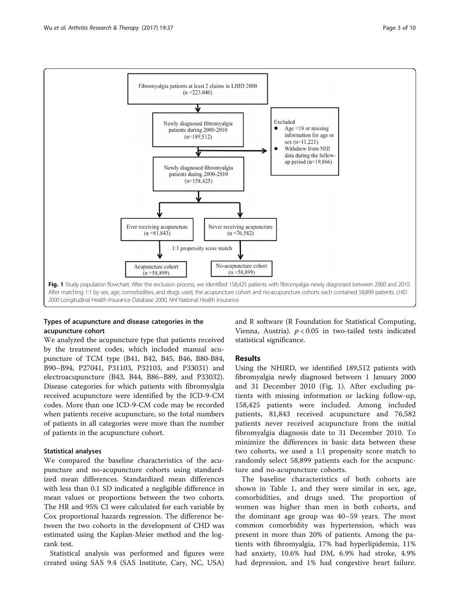<span id="page-2-0"></span>

# Types of acupuncture and disease categories in the acupuncture cohort

We analyzed the acupuncture type that patients received by the treatment codes, which included manual acupuncture of TCM type (B41, B42, B45, B46, B80-B84, B90–B94, P27041, P31103, P32103, and P33031) and electroacupuncture (B43, B44, B86–B89, and P33032). Disease categories for which patients with fibromyalgia received acupuncture were identified by the ICD-9-CM codes. More than one ICD-9-CM code may be recorded when patients receive acupuncture, so the total numbers of patients in all categories were more than the number of patients in the acupuncture cohort.

# Statistical analyses

We compared the baseline characteristics of the acupuncture and no-acupuncture cohorts using standardized mean differences. Standardized mean differences with less than 0.1 SD indicated a negligible difference in mean values or proportions between the two cohorts. The HR and 95% CI were calculated for each variable by Cox proportional hazards regression. The difference between the two cohorts in the development of CHD was estimated using the Kaplan-Meier method and the logrank test.

Statistical analysis was performed and figures were created using SAS 9.4 (SAS Institute, Cary, NC, USA)

and R software (R Foundation for Statistical Computing, Vienna, Austria).  $p < 0.05$  in two-tailed tests indicated statistical significance.

# Results

Using the NHIRD, we identified 189,512 patients with fibromyalgia newly diagnosed between 1 January 2000 and 31 December 2010 (Fig. 1). After excluding patients with missing information or lacking follow-up, 158,425 patients were included. Among included patients, 81,843 received acupuncture and 76,582 patients never received acupuncture from the initial fibromyalgia diagnosis date to 31 December 2010. To minimize the differences in basic data between these two cohorts, we used a 1:1 propensity score match to randomly select 58,899 patients each for the acupuncture and no-acupuncture cohorts.

The baseline characteristics of both cohorts are shown in Table [1,](#page-3-0) and they were similar in sex, age, comorbidities, and drugs used. The proportion of women was higher than men in both cohorts, and the dominant age group was 40–59 years. The most common comorbidity was hypertension, which was present in more than 20% of patients. Among the patients with fibromyalgia, 17% had hyperlipidemia, 11% had anxiety, 10.6% had DM, 6.9% had stroke, 4.9% had depression, and 1% had congestive heart failure.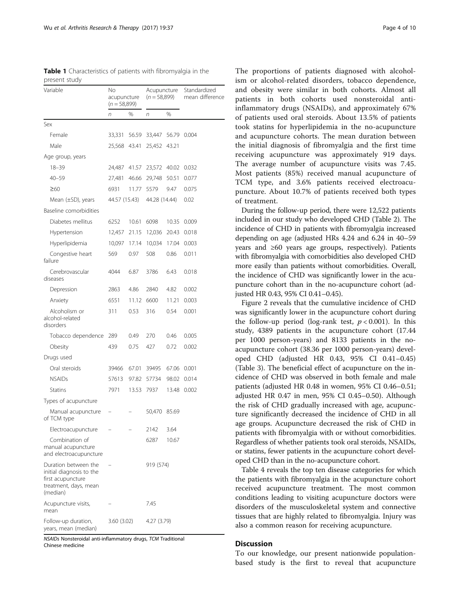| Variable                                                                                                   | No<br>acupuncture<br>$(n = 58,899)$ |       | Acupuncture<br>$(n = 58,899)$ |       | Standardized<br>mean difference |  |
|------------------------------------------------------------------------------------------------------------|-------------------------------------|-------|-------------------------------|-------|---------------------------------|--|
|                                                                                                            | n                                   | %     | $\sqrt{n}$                    | %     |                                 |  |
| Sex                                                                                                        |                                     |       |                               |       |                                 |  |
| Female                                                                                                     | 33,331                              | 56.59 | 33,447                        | 56.79 | 0.004                           |  |
| Male                                                                                                       | 25,568 43.41                        |       | 25,452 43.21                  |       |                                 |  |
| Age group, years                                                                                           |                                     |       |                               |       |                                 |  |
| 18–39                                                                                                      | 24,487 41.57                        |       | 23,572 40.02                  |       | 0.032                           |  |
| 40–59                                                                                                      | 27,481                              | 46.66 | 29,748                        | 50.51 | 0.077                           |  |
| $\geq 60$                                                                                                  | 6931                                | 11.77 | 5579                          | 9.47  | 0.075                           |  |
| Mean $(\pm SD)$ , years                                                                                    | 44.57 (15.43)                       |       | 44.28 (14.44)                 |       | 0.02                            |  |
| Baseline comorbidities                                                                                     |                                     |       |                               |       |                                 |  |
| Diabetes mellitus                                                                                          | 6252                                | 10.61 | 6098                          | 10.35 | 0.009                           |  |
| Hypertension                                                                                               | 12,457                              | 21.15 | 12,036                        | 20.43 | 0.018                           |  |
| Hyperlipidemia                                                                                             | 10,097                              | 17.14 | 10,034                        | 17.04 | 0.003                           |  |
| Congestive heart<br>failure                                                                                | 569                                 | 0.97  | 508                           | 0.86  | 0.011                           |  |
| Cerebrovascular<br>diseases                                                                                | 4044                                | 6.87  | 3786                          | 6.43  | 0.018                           |  |
| Depression                                                                                                 | 2863                                | 4.86  | 2840                          | 4.82  | 0.002                           |  |
| Anxiety                                                                                                    | 6551                                | 11.12 | 6600                          | 11.21 | 0.003                           |  |
| Alcoholism or<br>alcohol-related<br>disorders                                                              | 311                                 | 0.53  | 316                           | 0.54  | 0.001                           |  |
| Tobacco dependence                                                                                         | 289                                 | 0.49  | 270                           | 0.46  | 0.005                           |  |
| Obesity                                                                                                    | 439                                 | 0.75  | 427                           | 0.72  | 0.002                           |  |
| Drugs used                                                                                                 |                                     |       |                               |       |                                 |  |
| Oral steroids                                                                                              | 39466                               | 67.01 | 39495                         | 67.06 | 0.001                           |  |
| <b>NSAIDs</b>                                                                                              | 57613                               | 97.82 | 57734                         | 98.02 | 0.014                           |  |
| <b>Statins</b>                                                                                             | 7971                                | 13.53 | 7937                          | 13.48 | 0.002                           |  |
| Types of acupuncture                                                                                       |                                     |       |                               |       |                                 |  |
| Manual acupuncture<br>of TCM type                                                                          |                                     |       | 50,470                        | 85.69 |                                 |  |
| Electroacupuncture                                                                                         |                                     |       | 2142                          | 3.64  |                                 |  |
| Combination of<br>manual acupuncture<br>and electroacupuncture                                             |                                     |       | 6287                          | 10.67 |                                 |  |
| Duration between the<br>initial diagnosis to the<br>first acupuncture<br>treatment, days, mean<br>(median) |                                     |       | 919 (574)                     |       |                                 |  |
| Acupuncture visits,<br>mean                                                                                |                                     |       | 7.45                          |       |                                 |  |
| Follow-up duration,<br>years, mean (median)                                                                | 3.60(3.02)                          |       | 4.27 (3.79)                   |       |                                 |  |

<span id="page-3-0"></span>Table 1 Characteristics of patients with fibromyalgia in the present study

NSAIDs Nonsteroidal anti-inflammatory drugs, TCM Traditional Chinese medicine

The proportions of patients diagnosed with alcoholism or alcohol-related disorders, tobacco dependence, and obesity were similar in both cohorts. Almost all patients in both cohorts used nonsteroidal antiinflammatory drugs (NSAIDs), and approximately 67% of patients used oral steroids. About 13.5% of patients took statins for hyperlipidemia in the no-acupuncture and acupuncture cohorts. The mean duration between the initial diagnosis of fibromyalgia and the first time receiving acupuncture was approximately 919 days. The average number of acupuncture visits was 7.45. Most patients (85%) received manual acupuncture of TCM type, and 3.6% patients received electroacupuncture. About 10.7% of patients received both types of treatment.

During the follow-up period, there were 12,522 patients included in our study who developed CHD (Table [2](#page-4-0)). The incidence of CHD in patients with fibromyalgia increased depending on age (adjusted HRs 4.24 and 6.24 in 40–59 years and ≥60 years age groups, respectively). Patients with fibromyalgia with comorbidities also developed CHD more easily than patients without comorbidities. Overall, the incidence of CHD was significantly lower in the acupuncture cohort than in the no-acupuncture cohort (adjusted HR 0.43, 95% CI 0.41–0.45).

Figure [2](#page-5-0) reveals that the cumulative incidence of CHD was significantly lower in the acupuncture cohort during the follow-up period (log-rank test,  $p < 0.001$ ). In this study, 4389 patients in the acupuncture cohort (17.44 per 1000 person-years) and 8133 patients in the noacupuncture cohort (38.36 per 1000 person-years) developed CHD (adjusted HR 0.43, 95% CI 0.41–0.45) (Table [3](#page-6-0)). The beneficial effect of acupuncture on the incidence of CHD was observed in both female and male patients (adjusted HR 0.48 in women, 95% CI 0.46–0.51; adjusted HR 0.47 in men, 95% CI 0.45–0.50). Although the risk of CHD gradually increased with age, acupuncture significantly decreased the incidence of CHD in all age groups. Acupuncture decreased the risk of CHD in patients with fibromyalgia with or without comorbidities. Regardless of whether patients took oral steroids, NSAIDs, or statins, fewer patients in the acupuncture cohort developed CHD than in the no-acupuncture cohort.

Table [4](#page-7-0) reveals the top ten disease categories for which the patients with fibromyalgia in the acupuncture cohort received acupuncture treatment. The most common conditions leading to visiting acupuncture doctors were disorders of the musculoskeletal system and connective tissues that are highly related to fibromyalgia. Injury was also a common reason for receiving acupuncture.

# **Discussion**

To our knowledge, our present nationwide populationbased study is the first to reveal that acupuncture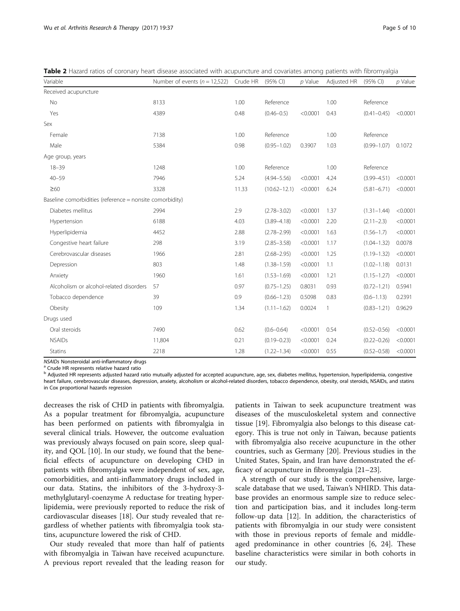| Variable                                                 | Number of events ( $n = 12,522$ ) | Crude HR | (95% CI)         | $p$ Value | Adjusted HR  | $(95%$ CI)      | $p$ Value |
|----------------------------------------------------------|-----------------------------------|----------|------------------|-----------|--------------|-----------------|-----------|
| Received acupuncture                                     |                                   |          |                  |           |              |                 |           |
| No                                                       | 8133                              | 1.00     | Reference        |           | 1.00         | Reference       |           |
| Yes                                                      | 4389                              | 0.48     | $(0.46 - 0.5)$   | < 0.0001  | 0.43         | $(0.41 - 0.45)$ | < 0.0001  |
| Sex                                                      |                                   |          |                  |           |              |                 |           |
| Female                                                   | 7138                              | 1.00     | Reference        |           | 1.00         | Reference       |           |
| Male                                                     | 5384                              | 0.98     | $(0.95 - 1.02)$  | 0.3907    | 1.03         | $(0.99 - 1.07)$ | 0.1072    |
| Age group, years                                         |                                   |          |                  |           |              |                 |           |
| $18 - 39$                                                | 1248                              | 1.00     | Reference        |           | 1.00         | Reference       |           |
| $40 - 59$                                                | 7946                              | 5.24     | $(4.94 - 5.56)$  | < 0.0001  | 4.24         | $(3.99 - 4.51)$ | < 0.0001  |
| $\geq 60$                                                | 3328                              | 11.33    | $(10.62 - 12.1)$ | < 0.0001  | 6.24         | $(5.81 - 6.71)$ | < 0.0001  |
| Baseline comorbidities (reference = nonsite comorbidity) |                                   |          |                  |           |              |                 |           |
| Diabetes mellitus                                        | 2994                              | 2.9      | $(2.78 - 3.02)$  | < 0.0001  | 1.37         | $(1.31 - 1.44)$ | < 0.0001  |
| Hypertension                                             | 6188                              | 4.03     | $(3.89 - 4.18)$  | < 0.0001  | 2.20         | $(2.11 - 2.3)$  | < 0.0001  |
| Hyperlipidemia                                           | 4452                              | 2.88     | $(2.78 - 2.99)$  | < 0.0001  | 1.63         | $(1.56 - 1.7)$  | < 0.0001  |
| Congestive heart failure                                 | 298                               | 3.19     | $(2.85 - 3.58)$  | < 0.0001  | 1.17         | $(1.04 - 1.32)$ | 0.0078    |
| Cerebrovascular diseases                                 | 1966                              | 2.81     | $(2.68 - 2.95)$  | < 0.0001  | 1.25         | $(1.19 - 1.32)$ | < 0.0001  |
| Depression                                               | 803                               | 1.48     | $(1.38 - 1.59)$  | < 0.0001  | 1.1          | $(1.02 - 1.18)$ | 0.0131    |
| Anxiety                                                  | 1960                              | 1.61     | $(1.53 - 1.69)$  | < 0.0001  | 1.21         | $(1.15 - 1.27)$ | < 0.0001  |
| Alcoholism or alcohol-related disorders                  | 57                                | 0.97     | $(0.75 - 1.25)$  | 0.8031    | 0.93         | $(0.72 - 1.21)$ | 0.5941    |
| Tobacco dependence                                       | 39                                | 0.9      | $(0.66 - 1.23)$  | 0.5098    | 0.83         | $(0.6 - 1.13)$  | 0.2391    |
| Obesity                                                  | 109                               | 1.34     | $(1.11 - 1.62)$  | 0.0024    | $\mathbf{1}$ | $(0.83 - 1.21)$ | 0.9629    |
| Drugs used                                               |                                   |          |                  |           |              |                 |           |
| Oral steroids                                            | 7490                              | 0.62     | $(0.6 - 0.64)$   | < 0.0001  | 0.54         | $(0.52 - 0.56)$ | < 0.0001  |
| <b>NSAIDs</b>                                            | 11,804                            | 0.21     | $(0.19 - 0.23)$  | < 0.0001  | 0.24         | $(0.22 - 0.26)$ | < 0.0001  |
| Statins                                                  | 2218                              | 1.28     | $(1.22 - 1.34)$  | < 0.0001  | 0.55         | $(0.52 - 0.58)$ | < 0.0001  |

<span id="page-4-0"></span>Table 2 Hazard ratios of coronary heart disease associated with acupuncture and covariates among patients with fibromyalgia

NSAIDs Nonsteroidal anti-inflammatory drugs<br><sup>a</sup> Crude HR represents relative hazard ratio

<sup>b</sup> Adjusted HR represents adjusted hazard ratio mutually adjusted for accepted acupuncture, age, sex, diabetes mellitus, hypertension, hyperlipidemia, congestive heart failure, cerebrovascular diseases, depression, anxiety, alcoholism or alcohol-related disorders, tobacco dependence, obesity, oral steroids, NSAIDs, and statins in Cox proportional hazards regression

decreases the risk of CHD in patients with fibromyalgia. As a popular treatment for fibromyalgia, acupuncture has been performed on patients with fibromyalgia in several clinical trials. However, the outcome evaluation was previously always focused on pain score, sleep quality, and QOL [\[10\]](#page-8-0). In our study, we found that the beneficial effects of acupuncture on developing CHD in patients with fibromyalgia were independent of sex, age, comorbidities, and anti-inflammatory drugs included in our data. Statins, the inhibitors of the 3-hydroxy-3 methylglutaryl-coenzyme A reductase for treating hyperlipidemia, were previously reported to reduce the risk of cardiovascular diseases [[18\]](#page-8-0). Our study revealed that regardless of whether patients with fibromyalgia took statins, acupuncture lowered the risk of CHD.

Our study revealed that more than half of patients with fibromyalgia in Taiwan have received acupuncture. A previous report revealed that the leading reason for

patients in Taiwan to seek acupuncture treatment was diseases of the musculoskeletal system and connective tissue [\[19\]](#page-8-0). Fibromyalgia also belongs to this disease category. This is true not only in Taiwan, because patients with fibromyalgia also receive acupuncture in the other countries, such as Germany [\[20\]](#page-8-0). Previous studies in the United States, Spain, and Iran have demonstrated the efficacy of acupuncture in fibromyalgia [\[21](#page-9-0)–[23\]](#page-9-0).

A strength of our study is the comprehensive, largescale database that we used, Taiwan's NHIRD. This database provides an enormous sample size to reduce selection and participation bias, and it includes long-term follow-up data [\[12](#page-8-0)]. In addition, the characteristics of patients with fibromyalgia in our study were consistent with those in previous reports of female and middleaged predominance in other countries [[6,](#page-8-0) [24](#page-9-0)]. These baseline characteristics were similar in both cohorts in our study.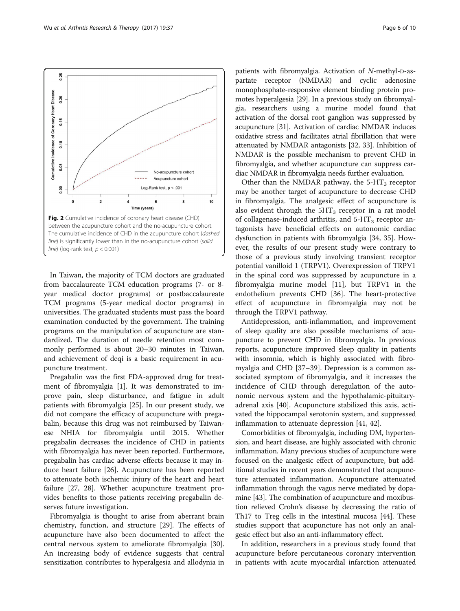<span id="page-5-0"></span>

In Taiwan, the majority of TCM doctors are graduated from baccalaureate TCM education programs (7- or 8 year medical doctor programs) or postbaccalaureate TCM programs (5-year medical doctor programs) in universities. The graduated students must pass the board examination conducted by the government. The training programs on the manipulation of acupuncture are standardized. The duration of needle retention most commonly performed is about 20–30 minutes in Taiwan, and achievement of deqi is a basic requirement in acupuncture treatment.

Pregabalin was the first FDA-approved drug for treatment of fibromyalgia [[1\]](#page-8-0). It was demonstrated to improve pain, sleep disturbance, and fatigue in adult patients with fibromyalgia [\[25](#page-9-0)]. In our present study, we did not compare the efficacy of acupuncture with pregabalin, because this drug was not reimbursed by Taiwanese NHIA for fibromyalgia until 2015. Whether pregabalin decreases the incidence of CHD in patients with fibromyalgia has never been reported. Furthermore, pregabalin has cardiac adverse effects because it may induce heart failure [[26\]](#page-9-0). Acupuncture has been reported to attenuate both ischemic injury of the heart and heart failure [\[27, 28](#page-9-0)]. Whether acupuncture treatment provides benefits to those patients receiving pregabalin deserves future investigation.

Fibromyalgia is thought to arise from aberrant brain chemistry, function, and structure [\[29\]](#page-9-0). The effects of acupuncture have also been documented to affect the central nervous system to ameliorate fibromyalgia [\[30](#page-9-0)]. An increasing body of evidence suggests that central sensitization contributes to hyperalgesia and allodynia in

patients with fibromyalgia. Activation of N-methyl-D-aspartate receptor (NMDAR) and cyclic adenosine monophosphate-responsive element binding protein promotes hyperalgesia [\[29](#page-9-0)]. In a previous study on fibromyalgia, researchers using a murine model found that activation of the dorsal root ganglion was suppressed by acupuncture [\[31](#page-9-0)]. Activation of cardiac NMDAR induces oxidative stress and facilitates atrial fibrillation that were attenuated by NMDAR antagonists [\[32](#page-9-0), [33](#page-9-0)]. Inhibition of NMDAR is the possible mechanism to prevent CHD in fibromyalgia, and whether acupuncture can suppress cardiac NMDAR in fibromyalgia needs further evaluation.

Other than the NMDAR pathway, the  $5$ -HT<sub>3</sub> receptor may be another target of acupuncture to decrease CHD in fibromyalgia. The analgesic effect of acupuncture is also evident through the  $5HT_3$  receptor in a rat model of collagenase-induced arthritis, and  $5-HT_3$  receptor antagonists have beneficial effects on autonomic cardiac dysfunction in patients with fibromyalgia [\[34](#page-9-0), [35\]](#page-9-0). However, the results of our present study were contrary to those of a previous study involving transient receptor potential vanilloid 1 (TRPV1). Overexpression of TRPV1 in the spinal cord was suppressed by acupuncture in a fibromyalgia murine model [\[11\]](#page-8-0), but TRPV1 in the endothelium prevents CHD [[36](#page-9-0)]. The heart-protective effect of acupuncture in fibromyalgia may not be through the TRPV1 pathway.

Antidepression, anti-inflammation, and improvement of sleep quality are also possible mechanisms of acupuncture to prevent CHD in fibromyalgia. In previous reports, acupuncture improved sleep quality in patients with insomnia, which is highly associated with fibromyalgia and CHD [[37](#page-9-0)–[39](#page-9-0)]. Depression is a common associated symptom of fibromyalgia, and it increases the incidence of CHD through deregulation of the autonomic nervous system and the hypothalamic-pituitaryadrenal axis [\[40](#page-9-0)]. Acupuncture stabilized this axis, activated the hippocampal serotonin system, and suppressed inflammation to attenuate depression [\[41, 42\]](#page-9-0).

Comorbidities of fibromyalgia, including DM, hypertension, and heart disease, are highly associated with chronic inflammation. Many previous studies of acupuncture were focused on the analgesic effect of acupuncture, but additional studies in recent years demonstrated that acupuncture attenuated inflammation. Acupuncture attenuated inflammation through the vagus nerve mediated by dopamine [[43](#page-9-0)]. The combination of acupuncture and moxibustion relieved Crohn's disease by decreasing the ratio of Th17 to Treg cells in the intestinal mucosa [\[44](#page-9-0)]. These studies support that acupuncture has not only an analgesic effect but also an anti-inflammatory effect.

In addition, researchers in a previous study found that acupuncture before percutaneous coronary intervention in patients with acute myocardial infarction attenuated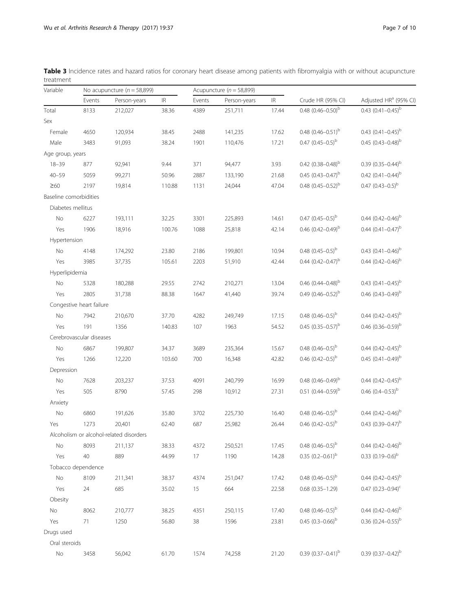<span id="page-6-0"></span>

| Table 3 Incidence rates and hazard ratios for coronary heart disease among patients with fibromyalgia with or without acupuncture |  |
|-----------------------------------------------------------------------------------------------------------------------------------|--|
| treatment                                                                                                                         |  |
|                                                                                                                                   |  |

| Variable               | No acupuncture ( $n = 58,899$ ) |                                         |                                   | Acupuncture ( $n = 58,899$ ) |              |                                   |                            |                                     |
|------------------------|---------------------------------|-----------------------------------------|-----------------------------------|------------------------------|--------------|-----------------------------------|----------------------------|-------------------------------------|
|                        | Events                          | Person-years                            | $\ensuremath{\mathsf{IR}}\xspace$ | Events                       | Person-years | $\ensuremath{\mathsf{IR}}\xspace$ | Crude HR (95% CI)          | Adjusted HR <sup>a</sup> (95% Cl)   |
| Total                  | 8133                            | 212,027                                 | 38.36                             | 4389                         | 251,711      | 17.44                             | 0.48 $(0.46 - 0.50)^b$     | 0.43 $(0.41 - 0.45)^{b}$            |
| Sex                    |                                 |                                         |                                   |                              |              |                                   |                            |                                     |
| Female                 | 4650                            | 120,934                                 | 38.45                             | 2488                         | 141,235      | 17.62                             | 0.48 $(0.46 - 0.51)^{b}$   | $0.43$ $(0.41 - 0.45)^{b}$          |
| Male                   | 3483                            | 91,093                                  | 38.24                             | 1901                         | 110,476      | 17.21                             | $0.47$ $(0.45-0.5)^{b}$    | 0.45 $(0.43 - 0.48)^{b}$            |
| Age group, years       |                                 |                                         |                                   |                              |              |                                   |                            |                                     |
| $18 - 39$              | 877                             | 92,941                                  | 9.44                              | 371                          | 94,477       | 3.93                              | $0.42$ $(0.38 - 0.48)^{b}$ | $0.39(0.35 - 0.44)^{b}$             |
| $40 - 59$              | 5059                            | 99,271                                  | 50.96                             | 2887                         | 133,190      | 21.68                             | $0.45$ $(0.43 - 0.47)^{b}$ | $0.42$ $(0.41 - 0.44)^{b}$          |
| $\geq 60$              | 2197                            | 19,814                                  | 110.88                            | 1131                         | 24,044       | 47.04                             | 0.48 $(0.45 - 0.52)^{b}$   | 0.47 $(0.43 - 0.5)^{b}$             |
| Baseline comorbidities |                                 |                                         |                                   |                              |              |                                   |                            |                                     |
| Diabetes mellitus      |                                 |                                         |                                   |                              |              |                                   |                            |                                     |
| No                     | 6227                            | 193,111                                 | 32.25                             | 3301                         | 225,893      | 14.61                             | $0.47$ $(0.45-0.5)^{b}$    | $0.44$ $(0.42 - 0.46)^{b}$          |
| Yes                    | 1906                            | 18,916                                  | 100.76                            | 1088                         | 25,818       | 42.14                             | $0.46$ $(0.42 - 0.49)^{b}$ | $0.44$ $(0.41 - 0.47)^{b}$          |
| Hypertension           |                                 |                                         |                                   |                              |              |                                   |                            |                                     |
| No                     | 4148                            | 174,292                                 | 23.80                             | 2186                         | 199,801      | 10.94                             | 0.48 $(0.45-0.5)^{b}$      | 0.43 $(0.41 - 0.46)^{b}$            |
| Yes                    | 3985                            | 37,735                                  | 105.61                            | 2203                         | 51,910       | 42.44                             | $0.44$ $(0.42 - 0.47)^{b}$ | $0.44$ $(0.42 - 0.46)^{b}$          |
| Hyperlipidemia         |                                 |                                         |                                   |                              |              |                                   |                            |                                     |
| No                     | 5328                            | 180,288                                 | 29.55                             | 2742                         | 210,271      | 13.04                             | 0.46 $(0.44 - 0.48)^{b}$   | $0.43(0.41 - 0.45)^{b}$             |
| Yes                    | 2805                            | 31,738                                  | 88.38                             | 1647                         | 41,440       | 39.74                             | 0.49 $(0.46 - 0.52)^{b}$   | 0.46 $(0.43 - 0.49)^{b}$            |
|                        | Congestive heart failure        |                                         |                                   |                              |              |                                   |                            |                                     |
| No                     | 7942                            | 210,670                                 | 37.70                             | 4282                         | 249,749      | 17.15                             | 0.48 $(0.46 - 0.5)^{b}$    | 0.44 $(0.42 - 0.45)^{b}$            |
| Yes                    | 191                             | 1356                                    | 140.83                            | 107                          | 1963         | 54.52                             | 0.45 $(0.35 - 0.57)^{b}$   | 0.46 $(0.36 - 0.59)^{b}$            |
|                        | Cerebrovascular diseases        |                                         |                                   |                              |              |                                   |                            |                                     |
| No                     | 6867                            | 199,807                                 | 34.37                             | 3689                         | 235,364      | 15.67                             | 0.48 $(0.46 - 0.5)^{b}$    | $0.44$ $(0.42 - 0.45)^{b}$          |
| Yes                    | 1266                            | 12,220                                  | 103.60                            | 700                          | 16,348       | 42.82                             | 0.46 $(0.42 - 0.5)^{b}$    | $0.45(0.41 - 0.49)^{b}$             |
| Depression             |                                 |                                         |                                   |                              |              |                                   |                            |                                     |
| No                     | 7628                            | 203,237                                 | 37.53                             | 4091                         | 240,799      | 16.99                             | 0.48 $(0.46 - 0.49)^{b}$   | 0.44 $(0.42 - 0.45)^{b}$            |
| Yes                    | 505                             | 8790                                    | 57.45                             | 298                          | 10,912       | 27.31                             | $0.51$ $(0.44 - 0.59)^{b}$ | 0.46 $(0.4 - 0.53)^{b}$             |
| Anxiety                |                                 |                                         |                                   |                              |              |                                   |                            |                                     |
| No                     | 6860                            | 191,626                                 | 35.80                             | 3702                         | 225,730      | 16.40                             | $0.48$ $(0.46 - 0.5)^{b}$  | $0.44$ $(0.42 - 0.46)^{b}$          |
| Yes                    | 1273                            | 20,401                                  | 62.40                             | 687                          | 25,982       | 26.44                             | 0.46 $(0.42 - 0.5)^{b}$    | 0.43 $(0.39 - 0.47)^{b}$            |
|                        |                                 | Alcoholism or alcohol-related disorders |                                   |                              |              |                                   |                            |                                     |
| No                     | 8093                            | 211,137                                 | 38.33                             | 4372                         | 250,521      | 17.45                             | 0.48 $(0.46 - 0.5)^{b}$    | $0.44$ $(0.42 - 0.46)^{b}$          |
| Yes                    | 40                              | 889                                     | 44.99                             | 17                           | 1190         | 14.28                             | 0.35 $(0.2 - 0.61)^{b}$    | 0.33 $(0.19-0.6)^{b}$               |
| Tobacco dependence     |                                 |                                         |                                   |                              |              |                                   |                            |                                     |
| No                     | 8109                            | 211,341                                 | 38.37                             | 4374                         | 251,047      | 17.42                             | 0.48 $(0.46 - 0.5)^{b}$    | $0.44$ $(0.42 - 0.45)^{b}$          |
| Yes                    | 24                              | 685                                     | 35.02                             | 15                           | 664          | 22.58                             | $0.68$ $(0.35 - 1.29)$     | $0.47$ $(0.23 - 0.94)$ <sup>c</sup> |
| Obesity                |                                 |                                         |                                   |                              |              |                                   |                            |                                     |
| No                     | 8062                            | 210,777                                 | 38.25                             | 4351                         | 250,115      | 17.40                             | 0.48 $(0.46 - 0.5)^{b}$    | $0.44$ $(0.42 - 0.46)^{b}$          |
| Yes                    | 71                              | 1250                                    | 56.80                             | 38                           | 1596         | 23.81                             | 0.45 $(0.3 - 0.66)^{b}$    | $0.36$ $(0.24 - 0.55)^{b}$          |
| Drugs used             |                                 |                                         |                                   |                              |              |                                   |                            |                                     |
| Oral steroids          |                                 |                                         |                                   |                              |              |                                   |                            |                                     |
| $\rm No$               | 3458                            | 56,042                                  | 61.70                             | 1574                         | 74,258       | 21.20                             | $0.39$ $(0.37 - 0.41)^{b}$ | $0.39(0.37 - 0.42)^{b}$             |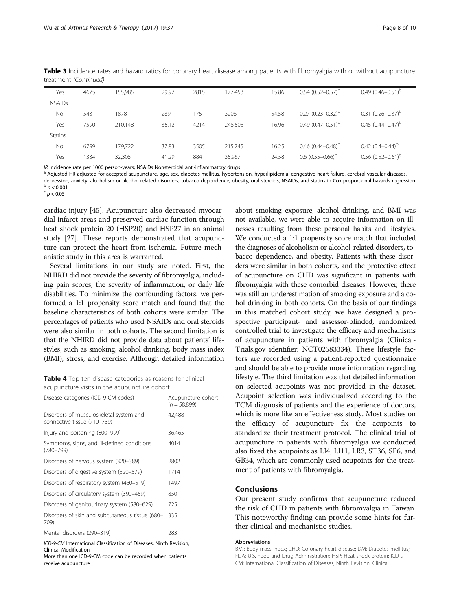| Yes            | 4675 | 155,985 | 29.97  | 2815 | 177,453 | 15.86 | $0.54$ $(0.52 - 0.57)^{D}$      | $0.49(0.46 - 0.51)^b$    |
|----------------|------|---------|--------|------|---------|-------|---------------------------------|--------------------------|
| <b>NSAIDs</b>  |      |         |        |      |         |       |                                 |                          |
| No             | 543  | 1878    | 289.11 | 175  | 3206    | 54.58 | $0.27$ (0.23-0.32) <sup>b</sup> | $0.31(0.26 - 0.37)^b$    |
| Yes            | 7590 | 210,148 | 36.12  | 4214 | 248,505 | 16.96 | $0.49(0.47-0.51)^b$             | $0.45$ $(0.44 - 0.47)^b$ |
| <b>Statins</b> |      |         |        |      |         |       |                                 |                          |
| No             | 6799 | 179,722 | 37.83  | 3505 | 215,745 | 16.25 | $0.46$ $(0.44 - 0.48)^{b}$      | $0.42(0.4-0.44)^{b}$     |
| Yes            | 1334 | 32,305  | 41.29  | 884  | 35,967  | 24.58 | $0.6~(0.55-0.66)^{b}$           | $0.56$ $(0.52-0.61)^b$   |

<span id="page-7-0"></span>Table 3 Incidence rates and hazard ratios for coronary heart disease among patients with fibromyalgia with or without acupuncture treatment (Continued)

IR Incidence rate per 1000 person-years; NSAIDs Nonsteroidal anti-inflammatory drugs<br><sup>a</sup> Adjusted HR adjusted for accepted acupuncture, age, sex, diabetes mellitus, hypertension, hyperlipidemia, congestive heart failure, c

depression, anxiety, alcoholism or alcohol-related disorders, tobacco dependence, obesity, oral steroids, NSAIDs, and statins in Cox proportional hazards regression  $\binom{b}{p}$  p < 0.001

cardiac injury [\[45](#page-9-0)]. Acupuncture also decreased myocardial infarct areas and preserved cardiac function through heat shock protein 20 (HSP20) and HSP27 in an animal study [[27\]](#page-9-0). These reports demonstrated that acupuncture can protect the heart from ischemia. Future mechanistic study in this area is warranted.

Several limitations in our study are noted. First, the NHIRD did not provide the severity of fibromyalgia, including pain scores, the severity of inflammation, or daily life disabilities. To minimize the confounding factors, we performed a 1:1 propensity score match and found that the baseline characteristics of both cohorts were similar. The percentages of patients who used NSAIDs and oral steroids were also similar in both cohorts. The second limitation is that the NHIRD did not provide data about patients' lifestyles, such as smoking, alcohol drinking, body mass index (BMI), stress, and exercise. Although detailed information

Table 4 Top ten disease categories as reasons for clinical acupuncture visits in the acupuncture cohort

| Disease categories (ICD-9-CM codes)                                    | Acupuncture cohort<br>$(n = 58,899)$ |
|------------------------------------------------------------------------|--------------------------------------|
| Disorders of musculoskeletal system and<br>connective tissue (710-739) | 42,488                               |
| Injury and poisoning (800–999)                                         | 36,465                               |
| Symptoms, signs, and ill-defined conditions<br>$(780 - 799)$           | 4014                                 |
| Disorders of nervous system (320–389)                                  | 2802                                 |
| Disorders of digestive system (520–579)                                | 1714                                 |
| Disorders of respiratory system (460–519)                              | 1497                                 |
| Disorders of circulatory system (390-459)                              | 850                                  |
| Disorders of genitourinary system (580-629)                            | 725                                  |
| Disorders of skin and subcutaneous tissue (680-<br>709)                | 335                                  |
| Mental disorders (290-319)                                             | 283                                  |

ICD-9-CM International Classification of Diseases, Ninth Revision, Clinical Modification

More than one ICD-9-CM code can be recorded when patients receive acupuncture

about smoking exposure, alcohol drinking, and BMI was not available, we were able to acquire information on illnesses resulting from these personal habits and lifestyles. We conducted a 1:1 propensity score match that included the diagnoses of alcoholism or alcohol-related disorders, tobacco dependence, and obesity. Patients with these disorders were similar in both cohorts, and the protective effect of acupuncture on CHD was significant in patients with fibromyalgia with these comorbid diseases. However, there was still an underestimation of smoking exposure and alcohol drinking in both cohorts. On the basis of our findings in this matched cohort study, we have designed a prospective participant- and assessor-blinded, randomized controlled trial to investigate the efficacy and mechanisms of acupuncture in patients with fibromyalgia (Clinical-Trials.gov identifier: NCT02583334). These lifestyle factors are recorded using a patient-reported questionnaire and should be able to provide more information regarding lifestyle. The third limitation was that detailed information on selected acupoints was not provided in the dataset. Acupoint selection was individualized according to the TCM diagnosis of patients and the experience of doctors, which is more like an effectiveness study. Most studies on the efficacy of acupuncture fix the acupoints to standardize their treatment protocol. The clinical trial of acupuncture in patients with fibromyalgia we conducted also fixed the acupoints as LI4, LI11, LR3, ST36, SP6, and GB34, which are commonly used acupoints for the treatment of patients with fibromyalgia.

# Conclusions

Our present study confirms that acupuncture reduced the risk of CHD in patients with fibromyalgia in Taiwan. This noteworthy finding can provide some hints for further clinical and mechanistic studies.

#### Abbreviations

BMI: Body mass index; CHD: Coronary heart disease; DM: Diabetes mellitus; FDA: U.S. Food and Drug Administration; HSP: Heat shock protein; ICD-9- CM: International Classification of Diseases, Ninth Revision, Clinical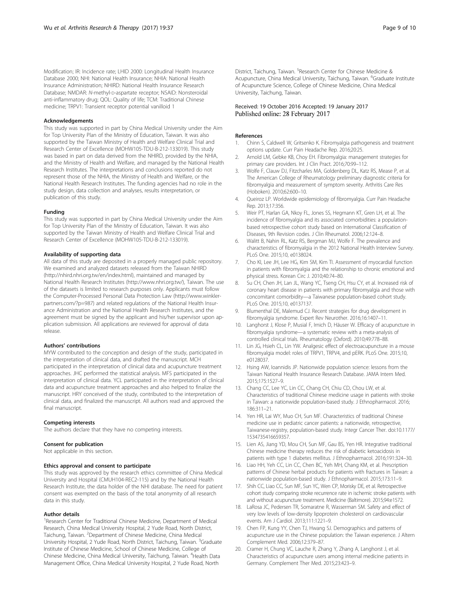<span id="page-8-0"></span>Modification; IR: Incidence rate; LHID 2000: Longitudinal Health Insurance Database 2000; NHI: National Health Insurance; NHIA: National Health Insurance Administration; NHIRD: National Health Insurance Research Database; NMDAR: N-methyl-D-aspartate receptor; NSAID: Nonsteroidal anti-inflammatory drug; QOL: Quality of life; TCM: Traditional Chinese medicine; TRPV1: Transient receptor potential vanilloid 1

#### **Acknowledgements**

This study was supported in part by China Medical University under the Aim for Top University Plan of the Ministry of Education, Taiwan. It was also supported by the Taiwan Ministry of Health and Welfare Clinical Trial and Research Center of Excellence (MOHW105-TDU-B-212-133019). This study was based in part on data derived from the NHIRD, provided by the NHIA, and the Ministry of Health and Welfare, and managed by the National Health Research Institutes. The interpretations and conclusions reported do not represent those of the NHIA, the Ministry of Health and Welfare, or the National Health Research Institutes. The funding agencies had no role in the study design, data collection and analyses, results interpretation, or publication of this study.

#### Funding

This study was supported in part by China Medical University under the Aim for Top University Plan of the Ministry of Education, Taiwan. It was also supported by the Taiwan Ministry of Health and Welfare Clinical Trial and Research Center of Excellence (MOHW105-TDU-B-212-133019).

#### Availability of supporting data

All data of this study are deposited in a properly managed public repository. We examined and analyzed datasets released from the Taiwan NHIRD (<http://nhird.nhri.org.tw/en/index.html>), maintained and managed by National Health Research Institutes [\(http://www.nhri.org.tw/\)](http://www.nhri.org.tw/), Taiwan. The use of the datasets is limited to research purposes only. Applicants must follow the Computer-Processed Personal Data Protection Law [\(http://www.winkler](http://www.winklerpartners.com/?p=987)[partners.com/?p=987](http://www.winklerpartners.com/?p=987)) and related regulations of the National Health Insurance Administration and the National Health Research Institutes, and the agreement must be signed by the applicant and his/her supervisor upon application submission. All applications are reviewed for approval of data release.

#### Authors' contributions

MYW contributed to the conception and design of the study, participated in the interpretation of clinical data, and drafted the manuscript. MCH participated in the interpretation of clinical data and acupuncture treatment approaches. JHC performed the statistical analysis. MFS participated in the interpretation of clinical data. YCL participated in the interpretation of clinical data and acupuncture treatment approaches and also helped to finalize the manuscript. HRY conceived of the study, contributed to the interpretation of clinical data, and finalized the manuscript. All authors read and approved the final manuscript.

#### Competing interests

The authors declare that they have no competing interests.

#### Consent for publication

Not applicable in this section.

#### Ethics approval and consent to participate

This study was approved by the research ethics committee of China Medical University and Hospital (CMUH104-REC2-115) and by the National Health Research Institute, the data holder of the NHI database. The need for patient consent was exempted on the basis of the total anonymity of all research data in this study.

#### Author details

<sup>1</sup> Research Center for Traditional Chinese Medicine, Department of Medical Research, China Medical University Hospital, 2 Yude Road, North District, Taichung, Taiwan. <sup>2</sup>Department of Chinese Medicine, China Medical University Hospital, 2 Yude Road, North District, Taichung, Taiwan. <sup>3</sup>Graduate Institute of Chinese Medicine, School of Chinese Medicine, College of Chinese Medicine, China Medical University, Taichung, Taiwan. <sup>4</sup>Health Data Management Office, China Medical University Hospital, 2 Yude Road, North

District, Taichung, Taiwan. <sup>5</sup>Research Center for Chinese Medicine & Acupuncture, China Medical University, Taichung, Taiwan. <sup>6</sup>Graduate Institute of Acupuncture Science, College of Chinese Medicine, China Medical University, Taichung, Taiwan.

### Received: 19 October 2016 Accepted: 19 January 2017 Published online: 28 February 2017

#### References

- 1. Chinn S, Caldwell W, Gritsenko K. Fibromyalgia pathogenesis and treatment options update. Curr Pain Headache Rep. 2016;20:25.
- 2. Arnold LM, Gebke KB, Choy EH. Fibromyalgia: management strategies for primary care providers. Int J Clin Pract. 2016;70:99–112.
- 3. Wolfe F, Clauw DJ, Fitzcharles MA, Goldenberg DL, Katz RS, Mease P, et al. The American College of Rheumatology preliminary diagnostic criteria for fibromyalgia and measurement of symptom severity. Arthritis Care Res (Hoboken). 2010;62:600–10.
- 4. Queiroz LP. Worldwide epidemiology of fibromyalgia. Curr Pain Headache Rep. 2013;17:356.
- 5. Weir PT, Harlan GA, Nkoy FL, Jones SS, Hegmann KT, Gren LH, et al. The incidence of fibromyalgia and its associated comorbidities: a populationbased retrospective cohort study based on International Classification of Diseases, 9th Revision codes. J Clin Rheumatol. 2006;12:124–8.
- 6. Walitt B, Nahin RL, Katz RS, Bergman MJ, Wolfe F. The prevalence and characteristics of fibromyalgia in the 2012 National Health Interview Survey. PLoS One. 2015;10, e0138024.
- 7. Cho KI, Lee JH, Lee HG, Kim SM, Kim TI. Assessment of myocardial function in patients with fibromyalgia and the relationship to chronic emotional and physical stress. Korean Circ J. 2010;40:74–80.
- Su CH, Chen JH, Lan JL, Wang YC, Tseng CH, Hsu CY, et al. Increased risk of coronary heart disease in patients with primary fibromyalgia and those with concomitant comorbidity—a Taiwanese population-based cohort study. PLoS One. 2015;10, e0137137.
- 9. Blumenthal DE, Malemud CJ. Recent strategies for drug development in fibromyalgia syndrome. Expert Rev Neurother. 2016;16:1407–11.
- 10. Langhorst J, Klose P, Musial F, Irnich D, Häuser W. Efficacy of acupuncture in fibromyalgia syndrome—a systematic review with a meta-analysis of controlled clinical trials. Rheumatology (Oxford). 2010;49:778–88.
- 11. Lin JG, Hsieh CL, Lin YW. Analgesic effect of electroacupuncture in a mouse fibromyalgia model: roles of TRPV1, TRPV4, and pERK. PLoS One. 2015;10, e0128037.
- 12. Hsing AW, Ioannidis JP. Nationwide population science: lessons from the Taiwan National Health Insurance Research Database. JAMA Intern Med. 2015;175:1527–9.
- 13. Chang CC, Lee YC, Lin CC, Chang CH, Chiu CD, Chou LW, et al. Characteristics of traditional Chinese medicine usage in patients with stroke in Taiwan: a nationwide population-based study. J Ethnopharmacol. 2016; 186:311–21.
- 14. Yen HR, Lai WY, Muo CH, Sun MF. Characteristics of traditional Chinese medicine use in pediatric cancer patients: a nationwide, retrospective, Taiwanese-registry, population-based study. Integr Cancer Ther. doi[:10.1177/](http://dx.doi.org/10.1177/1534735416659357) [1534735416659357](http://dx.doi.org/10.1177/1534735416659357).
- 15. Lien AS, Jiang YD, Mou CH, Sun MF, Gau BS, Yen HR. Integrative traditional Chinese medicine therapy reduces the risk of diabetic ketoacidosis in patients with type 1 diabetes mellitus. J Ethnopharmacol. 2016;191:324–30.
- 16. Liao HH, Yeh CC, Lin CC, Chen BC, Yeh MH, Chang KM, et al. Prescription patterns of Chinese herbal products for patients with fractures in Taiwan: a nationwide population-based study. J Ethnopharmacol. 2015;173:11–9.
- 17. Shih CC, Liao CC, Sun MF, Sun YC, Wen CP, Morisky DE, et al. Retrospective cohort study comparing stroke recurrence rate in ischemic stroke patients with and without acupuncture treatment. Medicine (Baltimore). 2015;94:e1572.
- 18. LaRosa JC, Pedersen TR, Somaratne R, Wasserman SM. Safety and effect of very low levels of low-density lipoprotein cholesterol on cardiovascular events. Am J Cardiol. 2013;111:1221–9.
- 19. Chen FP, Kung YY, Chen TJ, Hwang SJ. Demographics and patterns of acupuncture use in the Chinese population: the Taiwan experience. J Altern Complement Med. 2006;12:379–87.
- 20. Cramer H, Chung VC, Lauche R, Zhang Y, Zhang A, Langhorst J, et al. Characteristics of acupuncture users among internal medicine patients in Germany. Complement Ther Med. 2015;23:423–9.